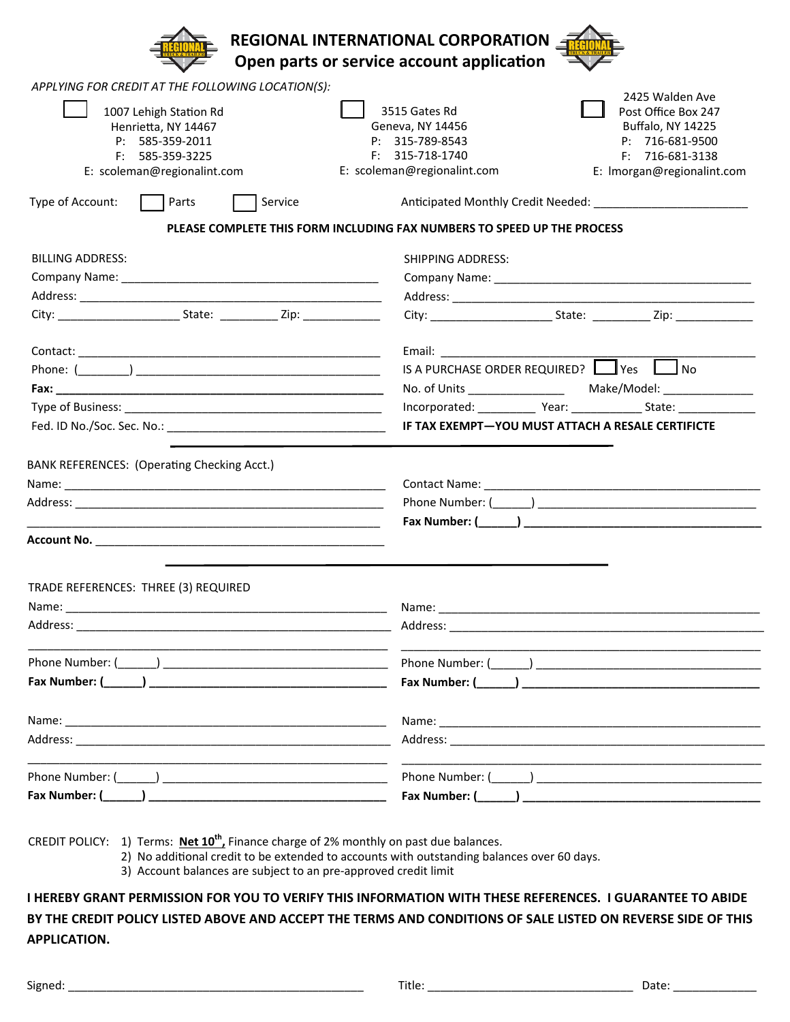| REGIONAL INTERNATIONAL CORPORATION<br>Open parts or service account application                                                |                                                                                                                                                                                                                                                    |
|--------------------------------------------------------------------------------------------------------------------------------|----------------------------------------------------------------------------------------------------------------------------------------------------------------------------------------------------------------------------------------------------|
| APPLYING FOR CREDIT AT THE FOLLOWING LOCATION(S):                                                                              |                                                                                                                                                                                                                                                    |
| 1007 Lehigh Station Rd<br>Henrietta, NY 14467<br>P: 585-359-2011<br>F: 585-359-3225<br>E: scoleman@regionalint.com             | 2425 Walden Ave<br>3515 Gates Rd<br>Post Office Box 247<br>Geneva, NY 14456<br><b>Buffalo, NY 14225</b><br>P: 315-789-8543<br>P: 716-681-9500<br>$F: 315-718-1740$<br>F: 716-681-3138<br>E: scoleman@regionalint.com<br>E: Imorgan@regionalint.com |
| Type of Account:<br>Service<br>  Parts<br>PLEASE COMPLETE THIS FORM INCLUDING FAX NUMBERS TO SPEED UP THE PROCESS              |                                                                                                                                                                                                                                                    |
|                                                                                                                                |                                                                                                                                                                                                                                                    |
| <b>BILLING ADDRESS:</b>                                                                                                        | <b>SHIPPING ADDRESS:</b>                                                                                                                                                                                                                           |
|                                                                                                                                |                                                                                                                                                                                                                                                    |
|                                                                                                                                |                                                                                                                                                                                                                                                    |
|                                                                                                                                |                                                                                                                                                                                                                                                    |
|                                                                                                                                | Email: Email: All and the state of the state of the state of the state of the state of the state of the state of the state of the state of the state of the state of the state of the state of the state of the state of the s                     |
|                                                                                                                                | IS A PURCHASE ORDER REQUIRED? I Ves I love                                                                                                                                                                                                         |
|                                                                                                                                |                                                                                                                                                                                                                                                    |
|                                                                                                                                | Incorporated: _____________ Year: ________________ State: ______________________                                                                                                                                                                   |
|                                                                                                                                | IF TAX EXEMPT-YOU MUST ATTACH A RESALE CERTIFICTE                                                                                                                                                                                                  |
| BANK REFERENCES: (Operating Checking Acct.)                                                                                    |                                                                                                                                                                                                                                                    |
|                                                                                                                                |                                                                                                                                                                                                                                                    |
| TRADE REFERENCES: THREE (3) REQUIRED                                                                                           |                                                                                                                                                                                                                                                    |
| Name:<br><u> 1980 - Johann Barn, amerikan bernama di sebagai bernama di sebagai bernama di sebagai bernama di sebagai bern</u> | Name: when the contract of the contract of the contract of the contract of the contract of the contract of the contract of the contract of the contract of the contract of the contract of the contract of the contract of the                     |
|                                                                                                                                |                                                                                                                                                                                                                                                    |
|                                                                                                                                |                                                                                                                                                                                                                                                    |
|                                                                                                                                | Fax Number: ( and )                                                                                                                                                                                                                                |
|                                                                                                                                |                                                                                                                                                                                                                                                    |
|                                                                                                                                | Address: Address: Address: Address: Address: Address: Address: Address: Address: Address: Address: Address: Address: Address: Address: Address: Address: Address: Address: Address: Address: Address: Address: Address: Addres                     |
|                                                                                                                                |                                                                                                                                                                                                                                                    |
|                                                                                                                                |                                                                                                                                                                                                                                                    |
|                                                                                                                                |                                                                                                                                                                                                                                                    |

CREDIT POLICY: 1) Terms: **Net 10th,** Finance charge of 2% monthly on past due balances.

2) No additional credit to be extended to accounts with outstanding balances over 60 days.

3) Account balances are subject to an pre‐approved credit limit

I HEREBY GRANT PERMISSION FOR YOU TO VERIFY THIS INFORMATION WITH THESE REFERENCES. I GUARANTEE TO ABIDE BY THE CREDIT POLICY LISTED ABOVE AND ACCEPT THE TERMS AND CONDITIONS OF SALE LISTED ON REVERSE SIDE OF THIS **APPLICATION.**